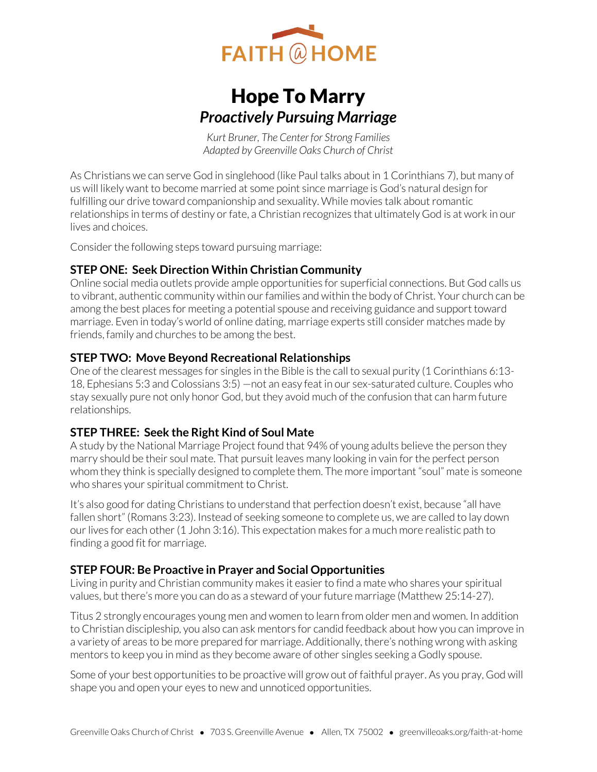

# Hope To Marry *Proactively Pursuing Marriage*

*Kurt Bruner, The Center for Strong Families Adapted by Greenville Oaks Church of Christ* 

As Christians we can serve God in singlehood (like Paul talks about in 1 Corinthians 7), but many of us will likely want to become married at some point since marriage is God's natural design for fulfilling our drive toward companionship and sexuality. While movies talk about romantic relationships in terms of destiny or fate, a Christian recognizes that ultimately God is at work in our lives and choices.

Consider the following steps toward pursuing marriage:

### **STEP ONE: Seek Direction Within Christian Community**

Online social media outlets provide ample opportunities for superficial connections. But God calls us to vibrant, authentic community within our families and within the body of Christ. Your church can be among the best places for meeting a potential spouse and receiving guidance and support toward marriage. Even in today's world of online dating, marriage experts still consider matches made by friends, family and churches to be among the best.

### **STEP TWO: Move Beyond Recreational Relationships**

One of the clearest messages for singles in the Bible is the call to sexual purity (1 Corinthians 6:13- 18, Ephesians 5:3 and Colossians 3:5) —not an easy feat in our sex-saturated culture. Couples who stay sexually pure not only honor God, but they avoid much of the confusion that can harm future relationships.

### **STEP THREE: Seek the Right Kind of Soul Mate**

A study by the National Marriage Project found that 94% of young adults believe the person they marry should be their soul mate. That pursuit leaves many looking in vain for the perfect person whom they think is specially designed to complete them. The more important "soul" mate is someone who shares your spiritual commitment to Christ.

It's also good for dating Christians to understand that perfection doesn't exist, because "all have fallen short" (Romans 3:23). Instead of seeking someone to complete us, we are called to lay down our lives for each other (1 John 3:16). This expectation makes for a much more realistic path to finding a good fit for marriage.

### **STEP FOUR: Be Proactive in Prayer and Social Opportunities**

Living in purity and Christian community makes it easier to find a mate who shares your spiritual values, but there's more you can do as a steward of your future marriage (Matthew 25:14-27).

Titus 2 strongly encourages young men and women to learn from older men and women. In addition to Christian discipleship, you also can ask mentors for candid feedback about how you can improve in a variety of areas to be more prepared for marriage. Additionally, there's nothing wrong with asking mentors to keep you in mind as they become aware of other singles seeking a Godly spouse.

Some of your best opportunities to be proactive will grow out of faithful prayer. As you pray, God will shape you and open your eyes to new and unnoticed opportunities.